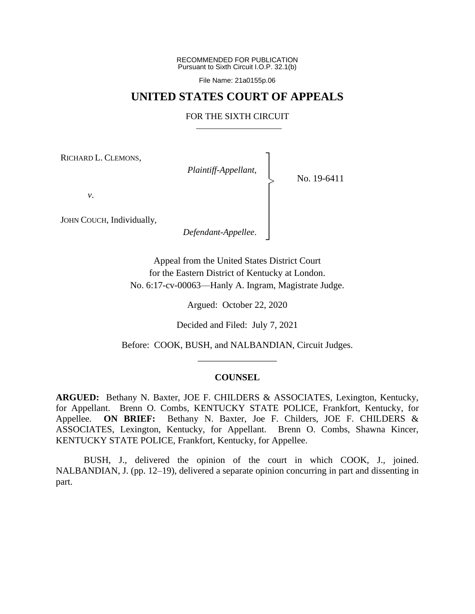RECOMMENDED FOR PUBLICATION Pursuant to Sixth Circuit I.O.P. 32.1(b)

File Name: 21a0155p.06

## **UNITED STATES COURT OF APPEALS**

## FOR THE SIXTH CIRCUIT

┐ │ │ │ │ │ │ │ ┘

|<br>|<br>|

RICHARD L. CLEMONS,

*Plaintiff-Appellant*,

No. 19-6411

*v*.

JOHN COUCH, Individually,

*Defendant-Appellee*.

Appeal from the United States District Court for the Eastern District of Kentucky at London. No. 6:17-cv-00063—Hanly A. Ingram, Magistrate Judge.

Argued: October 22, 2020

Decided and Filed: July 7, 2021

Before: COOK, BUSH, and NALBANDIAN, Circuit Judges. \_\_\_\_\_\_\_\_\_\_\_\_\_\_\_\_\_

### **COUNSEL**

**ARGUED:** Bethany N. Baxter, JOE F. CHILDERS & ASSOCIATES, Lexington, Kentucky, for Appellant. Brenn O. Combs, KENTUCKY STATE POLICE, Frankfort, Kentucky, for Appellee. **ON BRIEF:** Bethany N. Baxter, Joe F. Childers, JOE F. CHILDERS & ASSOCIATES, Lexington, Kentucky, for Appellant. Brenn O. Combs, Shawna Kincer, KENTUCKY STATE POLICE, Frankfort, Kentucky, for Appellee.

BUSH, J., delivered the opinion of the court in which COOK, J., joined. NALBANDIAN, J. (pp. 12–19), delivered a separate opinion concurring in part and dissenting in part.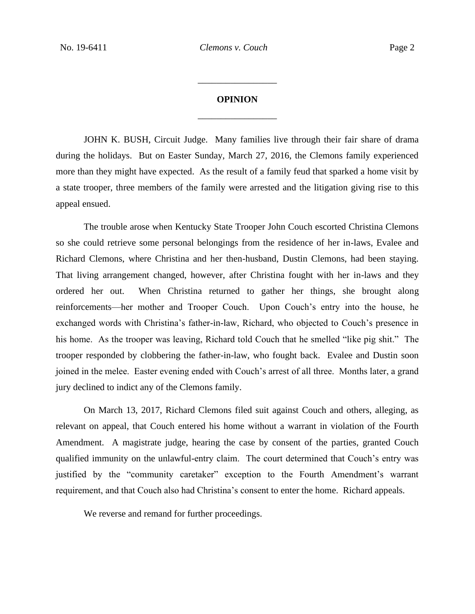# **OPINION** \_\_\_\_\_\_\_\_\_\_\_\_\_\_\_\_\_

\_\_\_\_\_\_\_\_\_\_\_\_\_\_\_\_\_

JOHN K. BUSH, Circuit Judge. Many families live through their fair share of drama during the holidays. But on Easter Sunday, March 27, 2016, the Clemons family experienced more than they might have expected. As the result of a family feud that sparked a home visit by a state trooper, three members of the family were arrested and the litigation giving rise to this appeal ensued.

The trouble arose when Kentucky State Trooper John Couch escorted Christina Clemons so she could retrieve some personal belongings from the residence of her in-laws, Evalee and Richard Clemons, where Christina and her then-husband, Dustin Clemons, had been staying. That living arrangement changed, however, after Christina fought with her in-laws and they ordered her out. When Christina returned to gather her things, she brought along reinforcements—her mother and Trooper Couch. Upon Couch's entry into the house, he exchanged words with Christina's father-in-law, Richard, who objected to Couch's presence in his home. As the trooper was leaving, Richard told Couch that he smelled "like pig shit." The trooper responded by clobbering the father-in-law, who fought back. Evalee and Dustin soon joined in the melee. Easter evening ended with Couch's arrest of all three. Months later, a grand jury declined to indict any of the Clemons family.

On March 13, 2017, Richard Clemons filed suit against Couch and others, alleging, as relevant on appeal, that Couch entered his home without a warrant in violation of the Fourth Amendment. A magistrate judge, hearing the case by consent of the parties, granted Couch qualified immunity on the unlawful-entry claim. The court determined that Couch's entry was justified by the "community caretaker" exception to the Fourth Amendment's warrant requirement, and that Couch also had Christina's consent to enter the home. Richard appeals.

We reverse and remand for further proceedings.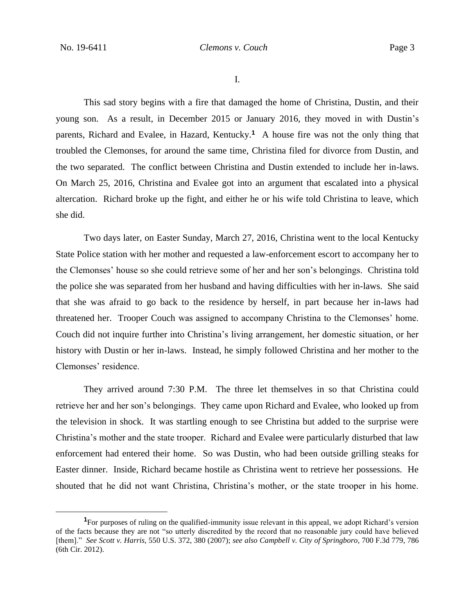I.

This sad story begins with a fire that damaged the home of Christina, Dustin, and their young son. As a result, in December 2015 or January 2016, they moved in with Dustin's parents, Richard and Evalee, in Hazard, Kentucky.<sup>1</sup> A house fire was not the only thing that troubled the Clemonses, for around the same time, Christina filed for divorce from Dustin, and the two separated. The conflict between Christina and Dustin extended to include her in-laws. On March 25, 2016, Christina and Evalee got into an argument that escalated into a physical altercation. Richard broke up the fight, and either he or his wife told Christina to leave, which she did.

Two days later, on Easter Sunday, March 27, 2016, Christina went to the local Kentucky State Police station with her mother and requested a law-enforcement escort to accompany her to the Clemonses' house so she could retrieve some of her and her son's belongings. Christina told the police she was separated from her husband and having difficulties with her in-laws. She said that she was afraid to go back to the residence by herself, in part because her in-laws had threatened her. Trooper Couch was assigned to accompany Christina to the Clemonses' home. Couch did not inquire further into Christina's living arrangement, her domestic situation, or her history with Dustin or her in-laws. Instead, he simply followed Christina and her mother to the Clemonses' residence.

They arrived around 7:30 P.M. The three let themselves in so that Christina could retrieve her and her son's belongings. They came upon Richard and Evalee, who looked up from the television in shock. It was startling enough to see Christina but added to the surprise were Christina's mother and the state trooper. Richard and Evalee were particularly disturbed that law enforcement had entered their home. So was Dustin, who had been outside grilling steaks for Easter dinner. Inside, Richard became hostile as Christina went to retrieve her possessions. He shouted that he did not want Christina, Christina's mother, or the state trooper in his home.

**<sup>1</sup>**For purposes of ruling on the qualified-immunity issue relevant in this appeal, we adopt Richard's version of the facts because they are not "so utterly discredited by the record that no reasonable jury could have believed [them]." *See Scott v. Harris*, 550 U.S. 372, 380 (2007); *see also Campbell v. City of Springboro*, 700 F.3d 779, 786 (6th Cir. 2012).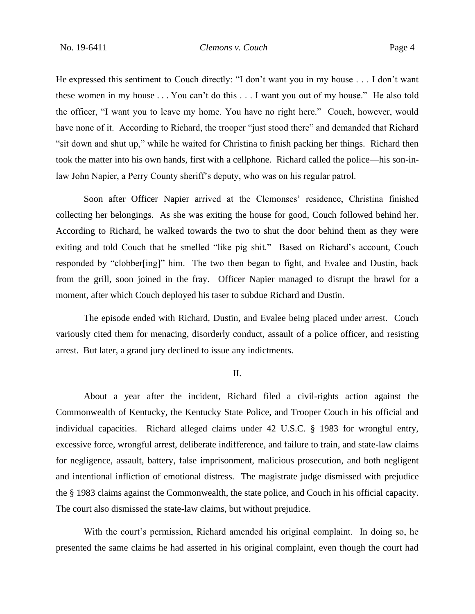He expressed this sentiment to Couch directly: "I don't want you in my house . . . I don't want these women in my house . . . You can't do this . . . I want you out of my house." He also told the officer, "I want you to leave my home. You have no right here." Couch, however, would have none of it. According to Richard, the trooper "just stood there" and demanded that Richard "sit down and shut up," while he waited for Christina to finish packing her things. Richard then took the matter into his own hands, first with a cellphone. Richard called the police—his son-inlaw John Napier, a Perry County sheriff's deputy, who was on his regular patrol.

Soon after Officer Napier arrived at the Clemonses' residence, Christina finished collecting her belongings. As she was exiting the house for good, Couch followed behind her. According to Richard, he walked towards the two to shut the door behind them as they were exiting and told Couch that he smelled "like pig shit." Based on Richard's account, Couch responded by "clobber[ing]" him. The two then began to fight, and Evalee and Dustin, back from the grill, soon joined in the fray. Officer Napier managed to disrupt the brawl for a moment, after which Couch deployed his taser to subdue Richard and Dustin.

The episode ended with Richard, Dustin, and Evalee being placed under arrest. Couch variously cited them for menacing, disorderly conduct, assault of a police officer, and resisting arrest. But later, a grand jury declined to issue any indictments.

II.

About a year after the incident, Richard filed a civil-rights action against the Commonwealth of Kentucky, the Kentucky State Police, and Trooper Couch in his official and individual capacities. Richard alleged claims under 42 U.S.C. § 1983 for wrongful entry, excessive force, wrongful arrest, deliberate indifference, and failure to train, and state-law claims for negligence, assault, battery, false imprisonment, malicious prosecution, and both negligent and intentional infliction of emotional distress. The magistrate judge dismissed with prejudice the § 1983 claims against the Commonwealth, the state police, and Couch in his official capacity. The court also dismissed the state-law claims, but without prejudice.

With the court's permission, Richard amended his original complaint. In doing so, he presented the same claims he had asserted in his original complaint, even though the court had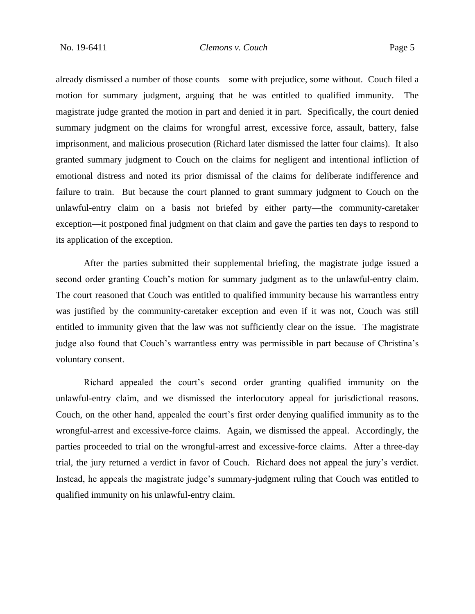already dismissed a number of those counts—some with prejudice, some without. Couch filed a motion for summary judgment, arguing that he was entitled to qualified immunity. The magistrate judge granted the motion in part and denied it in part. Specifically, the court denied summary judgment on the claims for wrongful arrest, excessive force, assault, battery, false imprisonment, and malicious prosecution (Richard later dismissed the latter four claims). It also granted summary judgment to Couch on the claims for negligent and intentional infliction of emotional distress and noted its prior dismissal of the claims for deliberate indifference and failure to train. But because the court planned to grant summary judgment to Couch on the unlawful-entry claim on a basis not briefed by either party—the community-caretaker exception—it postponed final judgment on that claim and gave the parties ten days to respond to its application of the exception.

After the parties submitted their supplemental briefing, the magistrate judge issued a second order granting Couch's motion for summary judgment as to the unlawful-entry claim. The court reasoned that Couch was entitled to qualified immunity because his warrantless entry was justified by the community-caretaker exception and even if it was not, Couch was still entitled to immunity given that the law was not sufficiently clear on the issue. The magistrate judge also found that Couch's warrantless entry was permissible in part because of Christina's voluntary consent.

Richard appealed the court's second order granting qualified immunity on the unlawful-entry claim, and we dismissed the interlocutory appeal for jurisdictional reasons. Couch, on the other hand, appealed the court's first order denying qualified immunity as to the wrongful-arrest and excessive-force claims. Again, we dismissed the appeal. Accordingly, the parties proceeded to trial on the wrongful-arrest and excessive-force claims. After a three-day trial, the jury returned a verdict in favor of Couch. Richard does not appeal the jury's verdict. Instead, he appeals the magistrate judge's summary-judgment ruling that Couch was entitled to qualified immunity on his unlawful-entry claim.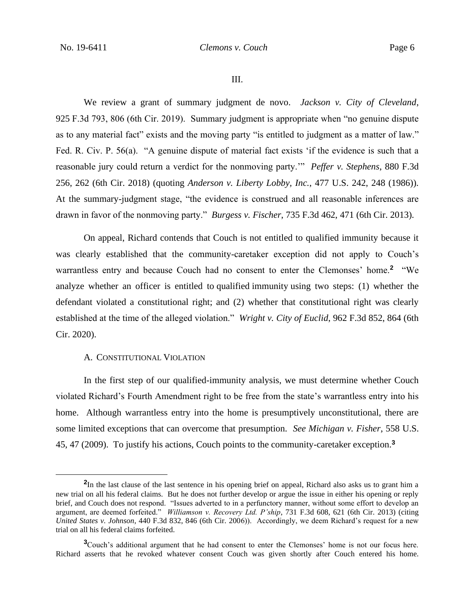III.

We review a grant of summary judgment de novo. *Jackson v. City of Cleveland*, 925 F.3d 793, 806 (6th Cir. 2019). Summary judgment is appropriate when "no genuine dispute as to any material fact" exists and the moving party "is entitled to judgment as a matter of law." Fed. R. Civ. P. 56(a). "A genuine dispute of material fact exists 'if the evidence is such that a reasonable jury could return a verdict for the nonmoving party.'" *Peffer v. Stephens*, 880 F.3d 256, 262 (6th Cir. 2018) (quoting *Anderson v. Liberty Lobby, Inc.*, 477 U.S. 242, 248 (1986)). At the summary-judgment stage, "the evidence is construed and all reasonable inferences are drawn in favor of the nonmoving party." *Burgess v. Fischer*, 735 F.3d 462, 471 (6th Cir. 2013).

On appeal, Richard contends that Couch is not entitled to qualified immunity because it was clearly established that the community-caretaker exception did not apply to Couch's warrantless entry and because Couch had no consent to enter the Clemonses' home.<sup>2</sup> "We analyze whether an officer is entitled to qualified immunity using two steps: (1) whether the defendant violated a constitutional right; and (2) whether that constitutional right was clearly established at the time of the alleged violation." *Wright v. City of Euclid*, 962 F.3d 852, 864 (6th Cir. 2020).

### A. CONSTITUTIONAL VIOLATION

In the first step of our qualified-immunity analysis, we must determine whether Couch violated Richard's Fourth Amendment right to be free from the state's warrantless entry into his home. Although warrantless entry into the home is presumptively unconstitutional, there are some limited exceptions that can overcome that presumption. *See Michigan v. Fisher*, 558 U.S. 45, 47 (2009). To justify his actions, Couch points to the community-caretaker exception.**<sup>3</sup>**

<sup>&</sup>lt;sup>2</sup>In the last clause of the last sentence in his opening brief on appeal, Richard also asks us to grant him a new trial on all his federal claims. But he does not further develop or argue the issue in either his opening or reply brief, and Couch does not respond. "Issues adverted to in a perfunctory manner, without some effort to develop an argument, are deemed forfeited." *Williamson v. Recovery Ltd. P'ship*, 731 F.3d 608, 621 (6th Cir. 2013) (citing *United States v. Johnson*, 440 F.3d 832, 846 (6th Cir. 2006)). Accordingly, we deem Richard's request for a new trial on all his federal claims forfeited.

**<sup>3</sup>**Couch's additional argument that he had consent to enter the Clemonses' home is not our focus here. Richard asserts that he revoked whatever consent Couch was given shortly after Couch entered his home.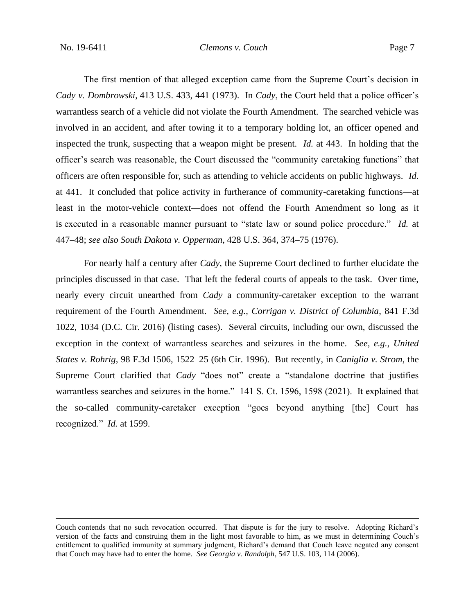The first mention of that alleged exception came from the Supreme Court's decision in *Cady v. Dombrowski*, 413 U.S. 433, 441 (1973). In *Cady*, the Court held that a police officer's warrantless search of a vehicle did not violate the Fourth Amendment. The searched vehicle was involved in an accident, and after towing it to a temporary holding lot, an officer opened and inspected the trunk, suspecting that a weapon might be present. *Id.* at 443. In holding that the officer's search was reasonable, the Court discussed the "community caretaking functions" that officers are often responsible for, such as attending to vehicle accidents on public highways. *Id.* at 441. It concluded that police activity in furtherance of community-caretaking functions—at least in the motor-vehicle context—does not offend the Fourth Amendment so long as it is executed in a reasonable manner pursuant to "state law or sound police procedure." *Id.* at 447–48; *see also South Dakota v. Opperman*, 428 U.S. 364, 374–75 (1976).

For nearly half a century after *Cady*, the Supreme Court declined to further elucidate the principles discussed in that case. That left the federal courts of appeals to the task. Over time, nearly every circuit unearthed from *Cady* a community-caretaker exception to the warrant requirement of the Fourth Amendment. *See, e.g.*, *Corrigan v. District of Columbia*, 841 F.3d 1022, 1034 (D.C. Cir. 2016) (listing cases). Several circuits, including our own, discussed the exception in the context of warrantless searches and seizures in the home. *See, e.g.*, *United States v. Rohrig*, 98 F.3d 1506, 1522–25 (6th Cir. 1996). But recently, in *Caniglia v. Strom*, the Supreme Court clarified that *Cady* "does not" create a "standalone doctrine that justifies warrantless searches and seizures in the home." 141 S. Ct. 1596, 1598 (2021). It explained that the so-called community-caretaker exception "goes beyond anything [the] Court has recognized." *Id.* at 1599.

Couch contends that no such revocation occurred. That dispute is for the jury to resolve. Adopting Richard's version of the facts and construing them in the light most favorable to him, as we must in determining Couch's entitlement to qualified immunity at summary judgment, Richard's demand that Couch leave negated any consent that Couch may have had to enter the home. *See Georgia v. Randolph*, 547 U.S. 103, 114 (2006).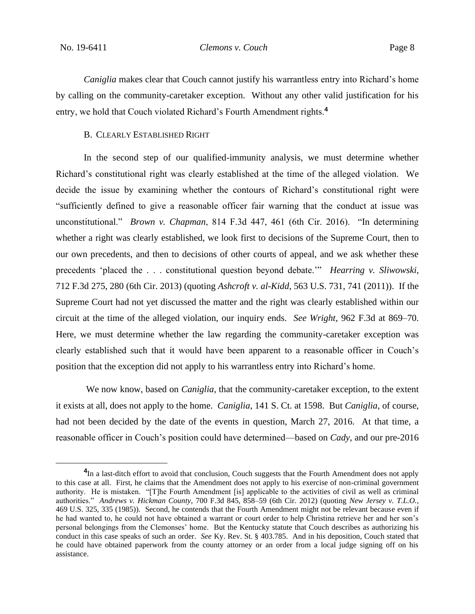*Caniglia* makes clear that Couch cannot justify his warrantless entry into Richard's home by calling on the community-caretaker exception. Without any other valid justification for his entry, we hold that Couch violated Richard's Fourth Amendment rights.**<sup>4</sup>**

#### B. CLEARLY ESTABLISHED RIGHT

In the second step of our qualified-immunity analysis, we must determine whether Richard's constitutional right was clearly established at the time of the alleged violation. We decide the issue by examining whether the contours of Richard's constitutional right were "sufficiently defined to give a reasonable officer fair warning that the conduct at issue was unconstitutional." *Brown v. Chapman*, 814 F.3d 447, 461 (6th Cir. 2016). "In determining whether a right was clearly established, we look first to decisions of the Supreme Court, then to our own precedents, and then to decisions of other courts of appeal, and we ask whether these precedents 'placed the . . . constitutional question beyond debate.'" *Hearring v. Sliwowski*, 712 F.3d 275, 280 (6th Cir. 2013) (quoting *Ashcroft v. al-Kidd*, 563 U.S. 731, 741 (2011)). If the Supreme Court had not yet discussed the matter and the right was clearly established within our circuit at the time of the alleged violation, our inquiry ends. *See Wright*, 962 F.3d at 869–70. Here, we must determine whether the law regarding the community-caretaker exception was clearly established such that it would have been apparent to a reasonable officer in Couch's position that the exception did not apply to his warrantless entry into Richard's home.

We now know, based on *Caniglia*, that the community-caretaker exception, to the extent it exists at all, does not apply to the home. *Caniglia*, 141 S. Ct. at 1598. But *Caniglia*, of course, had not been decided by the date of the events in question, March 27, 2016. At that time, a reasonable officer in Couch's position could have determined—based on *Cady*, and our pre-2016

<sup>&</sup>lt;sup>4</sup>In a last-ditch effort to avoid that conclusion, Couch suggests that the Fourth Amendment does not apply to this case at all. First, he claims that the Amendment does not apply to his exercise of non-criminal government authority. He is mistaken. "[T]he Fourth Amendment [is] applicable to the activities of civil as well as criminal authorities." *Andrews v. Hickman County*, 700 F.3d 845, 858–59 (6th Cir. 2012) (quoting *New Jersey v. T.L.O.*, 469 U.S. 325, 335 (1985)). Second, he contends that the Fourth Amendment might not be relevant because even if he had wanted to, he could not have obtained a warrant or court order to help Christina retrieve her and her son's personal belongings from the Clemonses' home. But the Kentucky statute that Couch describes as authorizing his conduct in this case speaks of such an order. *See* Ky. Rev. St. § 403.785. And in his deposition, Couch stated that he could have obtained paperwork from the county attorney or an order from a local judge signing off on his assistance.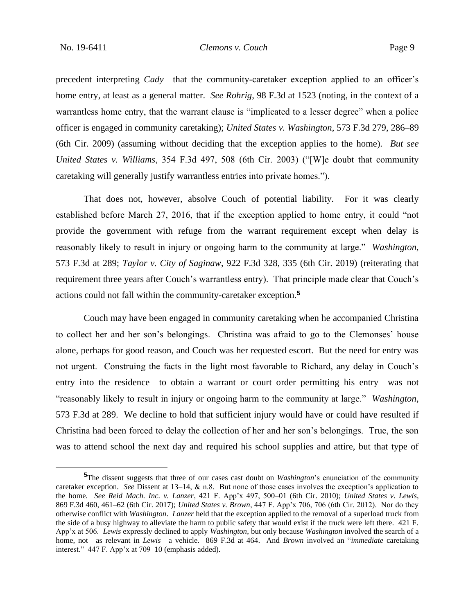precedent interpreting *Cady*—that the community-caretaker exception applied to an officer's home entry, at least as a general matter. *See Rohrig*, 98 F.3d at 1523 (noting, in the context of a warrantless home entry, that the warrant clause is "implicated to a lesser degree" when a police officer is engaged in community caretaking); *United States v. Washington*, 573 F.3d 279, 286–89 (6th Cir. 2009) (assuming without deciding that the exception applies to the home). *But see United States v. Williams*, 354 F.3d 497, 508 (6th Cir. 2003) ("[W]e doubt that community caretaking will generally justify warrantless entries into private homes.").

That does not, however, absolve Couch of potential liability. For it was clearly established before March 27, 2016, that if the exception applied to home entry, it could "not provide the government with refuge from the warrant requirement except when delay is reasonably likely to result in injury or ongoing harm to the community at large." *Washington*, 573 F.3d at 289; *Taylor v. City of Saginaw*, 922 F.3d 328, 335 (6th Cir. 2019) (reiterating that requirement three years after Couch's warrantless entry). That principle made clear that Couch's actions could not fall within the community-caretaker exception.**<sup>5</sup>**

Couch may have been engaged in community caretaking when he accompanied Christina to collect her and her son's belongings. Christina was afraid to go to the Clemonses' house alone, perhaps for good reason, and Couch was her requested escort. But the need for entry was not urgent. Construing the facts in the light most favorable to Richard, any delay in Couch's entry into the residence—to obtain a warrant or court order permitting his entry—was not "reasonably likely to result in injury or ongoing harm to the community at large." *Washington*, 573 F.3d at 289. We decline to hold that sufficient injury would have or could have resulted if Christina had been forced to delay the collection of her and her son's belongings. True, the son was to attend school the next day and required his school supplies and attire, but that type of

**<sup>5</sup>**The dissent suggests that three of our cases cast doubt on *Washington*'s enunciation of the community caretaker exception. *See* Dissent at 13–14, & n.8. But none of those cases involves the exception's application to the home. *See Reid Mach. Inc. v. Lanzer*, 421 F. App'x 497, 500–01 (6th Cir. 2010); *United States v. Lewis*, 869 F.3d 460, 461–62 (6th Cir. 2017); *United States v. Brown*, 447 F. App'x 706, 706 (6th Cir. 2012). Nor do they otherwise conflict with *Washington*. *Lanzer* held that the exception applied to the removal of a superload truck from the side of a busy highway to alleviate the harm to public safety that would exist if the truck were left there. 421 F. App'x at 506. *Lewis* expressly declined to apply *Washington*, but only because *Washington* involved the search of a home, not—as relevant in *Lewis*—a vehicle. 869 F.3d at 464. And *Brown* involved an "*immediate* caretaking interest." 447 F. App'x at 709–10 (emphasis added).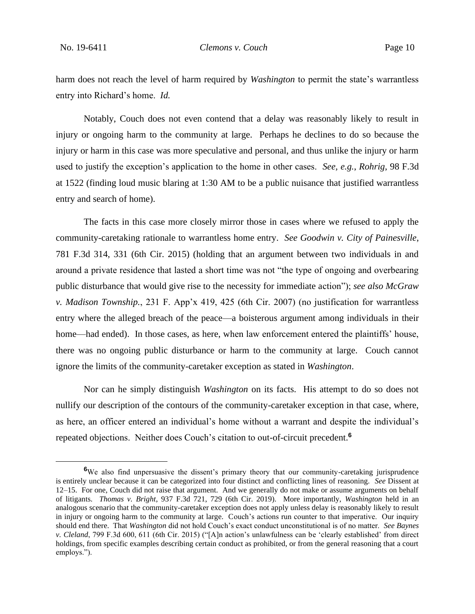harm does not reach the level of harm required by *Washington* to permit the state's warrantless entry into Richard's home. *Id.*

Notably, Couch does not even contend that a delay was reasonably likely to result in injury or ongoing harm to the community at large. Perhaps he declines to do so because the injury or harm in this case was more speculative and personal, and thus unlike the injury or harm used to justify the exception's application to the home in other cases. *See, e.g.*, *Rohrig*, 98 F.3d at 1522 (finding loud music blaring at 1:30 AM to be a public nuisance that justified warrantless entry and search of home).

The facts in this case more closely mirror those in cases where we refused to apply the community-caretaking rationale to warrantless home entry. *See Goodwin v. City of Painesville*, 781 F.3d 314, 331 (6th Cir. 2015) (holding that an argument between two individuals in and around a private residence that lasted a short time was not "the type of ongoing and overbearing public disturbance that would give rise to the necessity for immediate action"); *see also McGraw v. Madison Township.*, 231 F. App'x 419, 425 (6th Cir. 2007) (no justification for warrantless entry where the alleged breach of the peace—a boisterous argument among individuals in their home—had ended). In those cases, as here, when law enforcement entered the plaintiffs' house, there was no ongoing public disturbance or harm to the community at large. Couch cannot ignore the limits of the community-caretaker exception as stated in *Washington*.

Nor can he simply distinguish *Washington* on its facts. His attempt to do so does not nullify our description of the contours of the community-caretaker exception in that case, where, as here, an officer entered an individual's home without a warrant and despite the individual's repeated objections. Neither does Couch's citation to out-of-circuit precedent.**<sup>6</sup>**

<sup>&</sup>lt;sup>6</sup>We also find unpersuasive the dissent's primary theory that our community-caretaking jurisprudence is entirely unclear because it can be categorized into four distinct and conflicting lines of reasoning. *See* Dissent at 12–15. For one, Couch did not raise that argument. And we generally do not make or assume arguments on behalf of litigants. *Thomas v. Bright*, 937 F.3d 721, 729 (6th Cir. 2019). More importantly, *Washington* held in an analogous scenario that the community-caretaker exception does not apply unless delay is reasonably likely to result in injury or ongoing harm to the community at large. Couch's actions run counter to that imperative. Our inquiry should end there. That *Washington* did not hold Couch's exact conduct unconstitutional is of no matter. *See Baynes v. Cleland*, 799 F.3d 600, 611 (6th Cir. 2015) ("[A]n action's unlawfulness can be 'clearly established' from direct holdings, from specific examples describing certain conduct as prohibited, or from the general reasoning that a court employs.").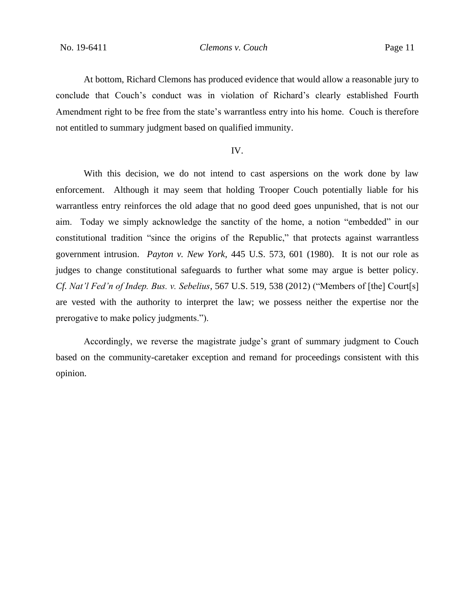At bottom, Richard Clemons has produced evidence that would allow a reasonable jury to conclude that Couch's conduct was in violation of Richard's clearly established Fourth Amendment right to be free from the state's warrantless entry into his home. Couch is therefore not entitled to summary judgment based on qualified immunity.

## IV.

With this decision, we do not intend to cast aspersions on the work done by law enforcement. Although it may seem that holding Trooper Couch potentially liable for his warrantless entry reinforces the old adage that no good deed goes unpunished, that is not our aim. Today we simply acknowledge the sanctity of the home, a notion "embedded" in our constitutional tradition "since the origins of the Republic," that protects against warrantless government intrusion. *Payton v. New York*, 445 U.S. 573, 601 (1980). It is not our role as judges to change constitutional safeguards to further what some may argue is better policy. *Cf. Nat'l Fed'n of Indep. Bus. v. Sebelius*, 567 U.S. 519, 538 (2012) ("Members of [the] Court[s] are vested with the authority to interpret the law; we possess neither the expertise nor the prerogative to make policy judgments.").

Accordingly, we reverse the magistrate judge's grant of summary judgment to Couch based on the community-caretaker exception and remand for proceedings consistent with this opinion.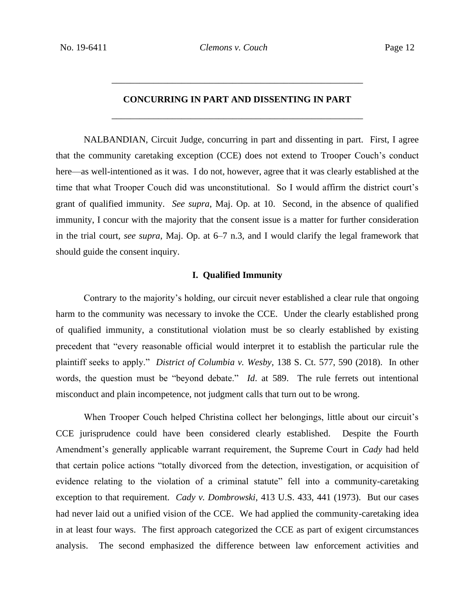# **CONCURRING IN PART AND DISSENTING IN PART** \_\_\_\_\_\_\_\_\_\_\_\_\_\_\_\_\_\_\_\_\_\_\_\_\_\_\_\_\_\_\_\_\_\_\_\_\_\_\_\_\_\_\_\_\_\_\_\_\_\_\_\_\_\_

\_\_\_\_\_\_\_\_\_\_\_\_\_\_\_\_\_\_\_\_\_\_\_\_\_\_\_\_\_\_\_\_\_\_\_\_\_\_\_\_\_\_\_\_\_\_\_\_\_\_\_\_\_\_

NALBANDIAN, Circuit Judge, concurring in part and dissenting in part. First, I agree that the community caretaking exception (CCE) does not extend to Trooper Couch's conduct here—as well-intentioned as it was. I do not, however, agree that it was clearly established at the time that what Trooper Couch did was unconstitutional. So I would affirm the district court's grant of qualified immunity. *See supra*, Maj. Op. at 10. Second, in the absence of qualified immunity, I concur with the majority that the consent issue is a matter for further consideration in the trial court, *see supra*, Maj. Op. at 6–7 n.3, and I would clarify the legal framework that should guide the consent inquiry.

## **I. Qualified Immunity**

Contrary to the majority's holding, our circuit never established a clear rule that ongoing harm to the community was necessary to invoke the CCE. Under the clearly established prong of qualified immunity, a constitutional violation must be so clearly established by existing precedent that "every reasonable official would interpret it to establish the particular rule the plaintiff seeks to apply." *District of Columbia v. Wesby*, 138 S. Ct. 577, 590 (2018). In other words, the question must be "beyond debate." *Id*. at 589. The rule ferrets out intentional misconduct and plain incompetence, not judgment calls that turn out to be wrong.

When Trooper Couch helped Christina collect her belongings, little about our circuit's CCE jurisprudence could have been considered clearly established. Despite the Fourth Amendment's generally applicable warrant requirement, the Supreme Court in *Cady* had held that certain police actions "totally divorced from the detection, investigation, or acquisition of evidence relating to the violation of a criminal statute" fell into a community-caretaking exception to that requirement. *Cady v. Dombrowski*, 413 U.S. 433, 441 (1973). But our cases had never laid out a unified vision of the CCE. We had applied the community-caretaking idea in at least four ways. The first approach categorized the CCE as part of exigent circumstances analysis. The second emphasized the difference between law enforcement activities and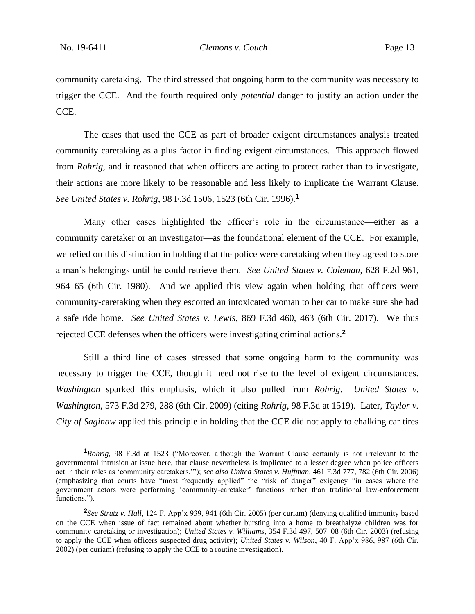community caretaking. The third stressed that ongoing harm to the community was necessary to trigger the CCE. And the fourth required only *potential* danger to justify an action under the CCE.

The cases that used the CCE as part of broader exigent circumstances analysis treated community caretaking as a plus factor in finding exigent circumstances. This approach flowed from *Rohrig*, and it reasoned that when officers are acting to protect rather than to investigate, their actions are more likely to be reasonable and less likely to implicate the Warrant Clause. *See United States v. Rohrig*, 98 F.3d 1506, 1523 (6th Cir. 1996).**<sup>1</sup>**

Many other cases highlighted the officer's role in the circumstance—either as a community caretaker or an investigator—as the foundational element of the CCE. For example, we relied on this distinction in holding that the police were caretaking when they agreed to store a man's belongings until he could retrieve them. *See United States v. Coleman*, 628 F.2d 961, 964–65 (6th Cir. 1980). And we applied this view again when holding that officers were community-caretaking when they escorted an intoxicated woman to her car to make sure she had a safe ride home. *See United States v. Lewis*, 869 F.3d 460, 463 (6th Cir. 2017). We thus rejected CCE defenses when the officers were investigating criminal actions.**<sup>2</sup>**

Still a third line of cases stressed that some ongoing harm to the community was necessary to trigger the CCE, though it need not rise to the level of exigent circumstances. *Washington* sparked this emphasis, which it also pulled from *Rohrig*. *United States v. Washington*, 573 F.3d 279, 288 (6th Cir. 2009) (citing *Rohrig*, 98 F.3d at 1519). Later, *Taylor v. City of Saginaw* applied this principle in holding that the CCE did not apply to chalking car tires

**<sup>1</sup>***Rohrig*, 98 F.3d at 1523 ("Moreover, although the Warrant Clause certainly is not irrelevant to the governmental intrusion at issue here, that clause nevertheless is implicated to a lesser degree when police officers act in their roles as 'community caretakers.'"); *see also United States v. Huffman*, 461 F.3d 777, 782 (6th Cir. 2006) (emphasizing that courts have "most frequently applied" the "risk of danger" exigency "in cases where the government actors were performing 'community-caretaker' functions rather than traditional law-enforcement functions.").

**<sup>2</sup>** *See Strutz v. Hall*, 124 F. App'x 939, 941 (6th Cir. 2005) (per curiam) (denying qualified immunity based on the CCE when issue of fact remained about whether bursting into a home to breathalyze children was for community caretaking or investigation); *United States v. Williams*, 354 F.3d 497, 507–08 (6th Cir. 2003) (refusing to apply the CCE when officers suspected drug activity); *United States v. Wilson*, 40 F. App'x 986, 987 (6th Cir. 2002) (per curiam) (refusing to apply the CCE to a routine investigation).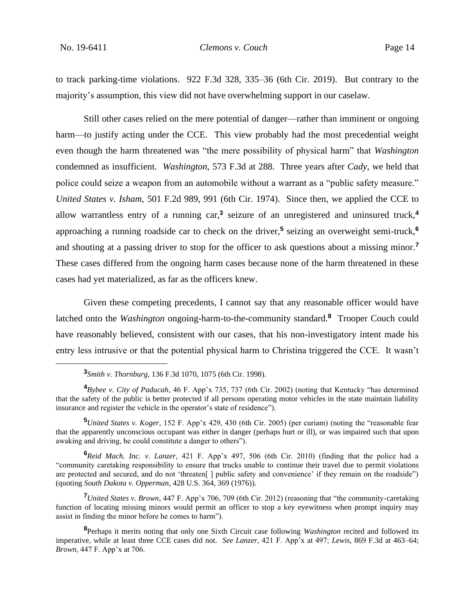to track parking-time violations. 922 F.3d 328, 335–36 (6th Cir. 2019). But contrary to the majority's assumption, this view did not have overwhelming support in our caselaw.

Still other cases relied on the mere potential of danger—rather than imminent or ongoing harm—to justify acting under the CCE. This view probably had the most precedential weight even though the harm threatened was "the mere possibility of physical harm" that *Washington* condemned as insufficient. *Washington*, 573 F.3d at 288. Three years after *Cady*, we held that police could seize a weapon from an automobile without a warrant as a "public safety measure." *United States v. Isham*, 501 F.2d 989, 991 (6th Cir. 1974). Since then, we applied the CCE to allow warrantless entry of a running car,**<sup>3</sup>** seizure of an unregistered and uninsured truck,**<sup>4</sup>** approaching a running roadside car to check on the driver,**<sup>5</sup>** seizing an overweight semi-truck,**<sup>6</sup>** and shouting at a passing driver to stop for the officer to ask questions about a missing minor.**<sup>7</sup>** These cases differed from the ongoing harm cases because none of the harm threatened in these cases had yet materialized, as far as the officers knew.

Given these competing precedents, I cannot say that any reasonable officer would have latched onto the *Washington* ongoing-harm-to-the-community standard.**<sup>8</sup>** Trooper Couch could have reasonably believed, consistent with our cases, that his non-investigatory intent made his entry less intrusive or that the potential physical harm to Christina triggered the CCE. It wasn't

**<sup>5</sup>***United States v. Koger*, 152 F. App'x 429, 430 (6th Cir. 2005) (per curiam) (noting the "reasonable fear that the apparently unconscious occupant was either in danger (perhaps hurt or ill), or was impaired such that upon awaking and driving, he could constitute a danger to others").

**<sup>6</sup>***Reid Mach. Inc. v. Lanzer*, 421 F. App'x 497, 506 (6th Cir. 2010) (finding that the police had a "community caretaking responsibility to ensure that trucks unable to continue their travel due to permit violations are protected and secured, and do not 'threaten[ ] public safety and convenience' if they remain on the roadside") (quoting *South Dakota v. Opperman*, 428 U.S. 364, 369 (1976)).

**<sup>7</sup>***United States v. Brown*, 447 F. App'x 706, 709 (6th Cir. 2012) (reasoning that "the community-caretaking function of locating missing minors would permit an officer to stop a key eyewitness when prompt inquiry may assist in finding the minor before he comes to harm").

**<sup>3</sup>** *Smith v. Thornburg*, 136 F.3d 1070, 1075 (6th Cir. 1998).

**<sup>4</sup>***Bybee v. City of Paducah*, 46 F. App'x 735, 737 (6th Cir. 2002) (noting that Kentucky "has determined that the safety of the public is better protected if all persons operating motor vehicles in the state maintain liability insurance and register the vehicle in the operator's state of residence").

**<sup>8</sup>**Perhaps it merits noting that only one Sixth Circuit case following *Washington* recited and followed its imperative, while at least three CCE cases did not. *See Lanzer*, 421 F. App'x at 497; *Lewis*, 869 F.3d at 463–64; *Brown*, 447 F. App'x at 706.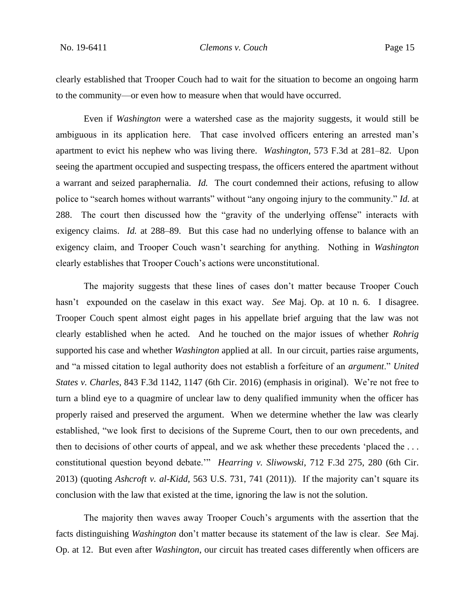clearly established that Trooper Couch had to wait for the situation to become an ongoing harm to the community—or even how to measure when that would have occurred.

Even if *Washington* were a watershed case as the majority suggests, it would still be ambiguous in its application here. That case involved officers entering an arrested man's apartment to evict his nephew who was living there. *Washington*, 573 F.3d at 281–82. Upon seeing the apartment occupied and suspecting trespass, the officers entered the apartment without a warrant and seized paraphernalia. *Id.* The court condemned their actions, refusing to allow police to "search homes without warrants" without "any ongoing injury to the community." *Id.* at 288. The court then discussed how the "gravity of the underlying offense" interacts with exigency claims. *Id.* at 288–89. But this case had no underlying offense to balance with an exigency claim, and Trooper Couch wasn't searching for anything. Nothing in *Washington* clearly establishes that Trooper Couch's actions were unconstitutional.

The majority suggests that these lines of cases don't matter because Trooper Couch hasn't expounded on the caselaw in this exact way. *See* Maj. Op. at 10 n. 6. I disagree. Trooper Couch spent almost eight pages in his appellate brief arguing that the law was not clearly established when he acted. And he touched on the major issues of whether *Rohrig* supported his case and whether *Washington* applied at all. In our circuit, parties raise arguments, and "a missed citation to legal authority does not establish a forfeiture of an *argument*." *United States v. Charles*, 843 F.3d 1142, 1147 (6th Cir. 2016) (emphasis in original). We're not free to turn a blind eye to a quagmire of unclear law to deny qualified immunity when the officer has properly raised and preserved the argument. When we determine whether the law was clearly established, "we look first to decisions of the Supreme Court, then to our own precedents, and then to decisions of other courts of appeal, and we ask whether these precedents 'placed the . . . constitutional question beyond debate.'" *Hearring v. Sliwowski*, 712 F.3d 275, 280 (6th Cir. 2013) (quoting *Ashcroft v. al-Kidd*, 563 U.S. 731, 741 (2011)). If the majority can't square its conclusion with the law that existed at the time, ignoring the law is not the solution.

The majority then waves away Trooper Couch's arguments with the assertion that the facts distinguishing *Washington* don't matter because its statement of the law is clear. *See* Maj. Op. at 12. But even after *Washington*, our circuit has treated cases differently when officers are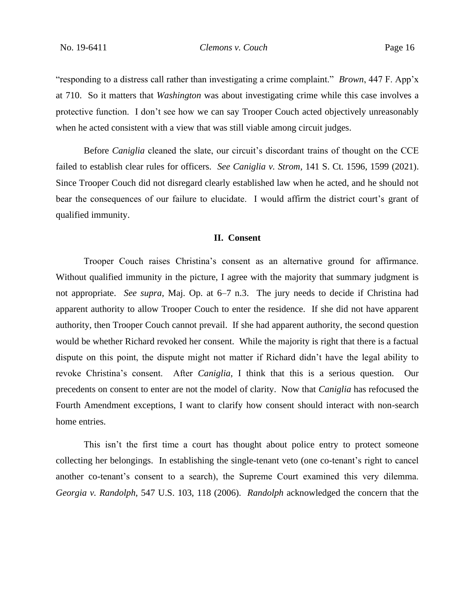"responding to a distress call rather than investigating a crime complaint." *Brown*, 447 F. App'x at 710. So it matters that *Washington* was about investigating crime while this case involves a protective function. I don't see how we can say Trooper Couch acted objectively unreasonably when he acted consistent with a view that was still viable among circuit judges.

Before *Caniglia* cleaned the slate, our circuit's discordant trains of thought on the CCE failed to establish clear rules for officers. *See Caniglia v. Strom*, 141 S. Ct. 1596, 1599 (2021). Since Trooper Couch did not disregard clearly established law when he acted, and he should not bear the consequences of our failure to elucidate. I would affirm the district court's grant of qualified immunity.

## **II. Consent**

Trooper Couch raises Christina's consent as an alternative ground for affirmance. Without qualified immunity in the picture, I agree with the majority that summary judgment is not appropriate. *See supra*, Maj. Op. at 6–7 n.3. The jury needs to decide if Christina had apparent authority to allow Trooper Couch to enter the residence. If she did not have apparent authority, then Trooper Couch cannot prevail. If she had apparent authority, the second question would be whether Richard revoked her consent. While the majority is right that there is a factual dispute on this point, the dispute might not matter if Richard didn't have the legal ability to revoke Christina's consent. After *Caniglia*, I think that this is a serious question. Our precedents on consent to enter are not the model of clarity. Now that *Caniglia* has refocused the Fourth Amendment exceptions, I want to clarify how consent should interact with non-search home entries.

This isn't the first time a court has thought about police entry to protect someone collecting her belongings. In establishing the single-tenant veto (one co-tenant's right to cancel another co-tenant's consent to a search), the Supreme Court examined this very dilemma. *Georgia v. Randolph*, 547 U.S. 103, 118 (2006). *Randolph* acknowledged the concern that the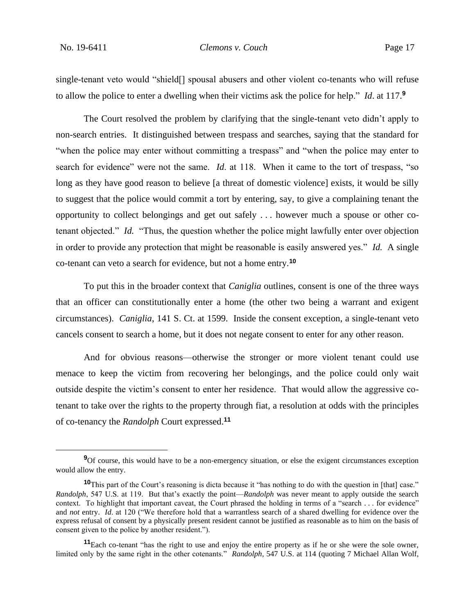single-tenant veto would "shield[] spousal abusers and other violent co-tenants who will refuse to allow the police to enter a dwelling when their victims ask the police for help." *Id*. at 117.**<sup>9</sup>**

The Court resolved the problem by clarifying that the single-tenant veto didn't apply to non-search entries. It distinguished between trespass and searches, saying that the standard for "when the police may enter without committing a trespass" and "when the police may enter to search for evidence" were not the same. *Id*. at 118. When it came to the tort of trespass, "so long as they have good reason to believe [a threat of domestic violence] exists, it would be silly to suggest that the police would commit a tort by entering, say, to give a complaining tenant the opportunity to collect belongings and get out safely . . . however much a spouse or other cotenant objected." *Id.* "Thus, the question whether the police might lawfully enter over objection in order to provide any protection that might be reasonable is easily answered yes." *Id.* A single co-tenant can veto a search for evidence, but not a home entry.**<sup>10</sup>**

To put this in the broader context that *Caniglia* outlines, consent is one of the three ways that an officer can constitutionally enter a home (the other two being a warrant and exigent circumstances). *Caniglia*, 141 S. Ct. at 1599. Inside the consent exception, a single-tenant veto cancels consent to search a home, but it does not negate consent to enter for any other reason.

And for obvious reasons—otherwise the stronger or more violent tenant could use menace to keep the victim from recovering her belongings, and the police could only wait outside despite the victim's consent to enter her residence. That would allow the aggressive cotenant to take over the rights to the property through fiat, a resolution at odds with the principles of co-tenancy the *Randolph* Court expressed.**<sup>11</sup>**

<sup>&</sup>lt;sup>9</sup>Of course, this would have to be a non-emergency situation, or else the exigent circumstances exception would allow the entry.

**<sup>10</sup>**This part of the Court's reasoning is dicta because it "has nothing to do with the question in [that] case." *Randolph*, 547 U.S. at 119. But that's exactly the point—*Randolph* was never meant to apply outside the search context. To highlight that important caveat, the Court phrased the holding in terms of a "search . . . for evidence" and *not* entry. *Id*. at 120 ("We therefore hold that a warrantless search of a shared dwelling for evidence over the express refusal of consent by a physically present resident cannot be justified as reasonable as to him on the basis of consent given to the police by another resident.").

**<sup>11</sup>**Each co-tenant "has the right to use and enjoy the entire property as if he or she were the sole owner, limited only by the same right in the other cotenants." *Randolph*, 547 U.S. at 114 (quoting 7 Michael Allan Wolf,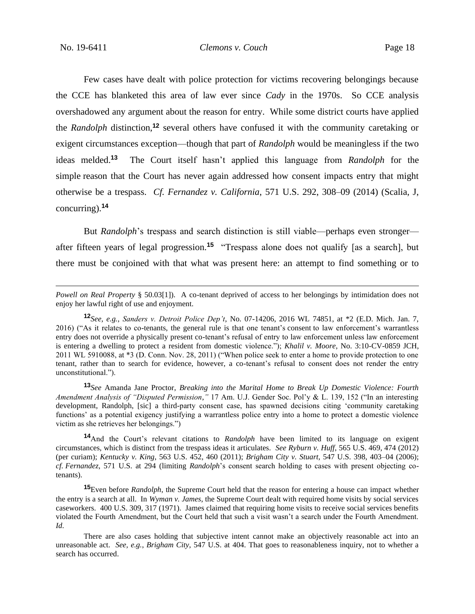Few cases have dealt with police protection for victims recovering belongings because the CCE has blanketed this area of law ever since *Cady* in the 1970s. So CCE analysis overshadowed any argument about the reason for entry. While some district courts have applied the *Randolph* distinction,**<sup>12</sup>** several others have confused it with the community caretaking or exigent circumstances exception—though that part of *Randolph* would be meaningless if the two ideas melded.**<sup>13</sup>** The Court itself hasn't applied this language from *Randolph* for the simple reason that the Court has never again addressed how consent impacts entry that might otherwise be a trespass. *Cf. Fernandez v. California*, 571 U.S. 292, 308–09 (2014) (Scalia, J, concurring).**<sup>14</sup>**

But *Randolph*'s trespass and search distinction is still viable—perhaps even stronger after fifteen years of legal progression.**<sup>15</sup>** "Trespass alone does not qualify [as a search], but there must be conjoined with that what was present here: an attempt to find something or to

**<sup>13</sup>***See* Amanda Jane Proctor, *Breaking into the Marital Home to Break Up Domestic Violence: Fourth Amendment Analysis of "Disputed Permission*,*"* 17 Am. U.J. Gender Soc. Pol'y & L. 139, 152 ("In an interesting development, Randolph, [sic] a third-party consent case, has spawned decisions citing 'community caretaking functions' as a potential exigency justifying a warrantless police entry into a home to protect a domestic violence victim as she retrieves her belongings.")

**<sup>14</sup>**And the Court's relevant citations to *Randolph* have been limited to its language on exigent circumstances, which is distinct from the trespass ideas it articulates. *See Ryburn v. Huff*, 565 U.S. 469, 474 (2012) (per curiam); *Kentucky v. King*, 563 U.S. 452, 460 (2011); *Brigham City v. Stuart*, 547 U.S. 398, 403–04 (2006); *cf. Fernandez*, 571 U.S. at 294 (limiting *Randolph*'s consent search holding to cases with present objecting cotenants).

**<sup>15</sup>**Even before *Randolph*, the Supreme Court held that the reason for entering a house can impact whether the entry is a search at all. In *Wyman v. James*, the Supreme Court dealt with required home visits by social services caseworkers. 400 U.S. 309, 317 (1971). James claimed that requiring home visits to receive social services benefits violated the Fourth Amendment, but the Court held that such a visit wasn't a search under the Fourth Amendment. *Id.*

*Powell on Real Property* § 50.03[1]). A co-tenant deprived of access to her belongings by intimidation does not enjoy her lawful right of use and enjoyment.

**<sup>12</sup>***See, e.g.*, *Sanders v. Detroit Police Dep't*, No. 07-14206, 2016 WL 74851, at \*2 (E.D. Mich. Jan. 7, 2016) ("As it relates to co-tenants, the general rule is that one tenant's consent to law enforcement's warrantless entry does not override a physically present co-tenant's refusal of entry to law enforcement unless law enforcement is entering a dwelling to protect a resident from domestic violence."); *Khalil v. Moore*, No. 3:10-CV-0859 JCH, 2011 WL 5910088, at \*3 (D. Conn. Nov. 28, 2011) ("When police seek to enter a home to provide protection to one tenant, rather than to search for evidence, however, a co-tenant's refusal to consent does not render the entry unconstitutional.").

There are also cases holding that subjective intent cannot make an objectively reasonable act into an unreasonable act. *See, e.g.*, *Brigham City*, 547 U.S. at 404. That goes to reasonableness inquiry, not to whether a search has occurred.